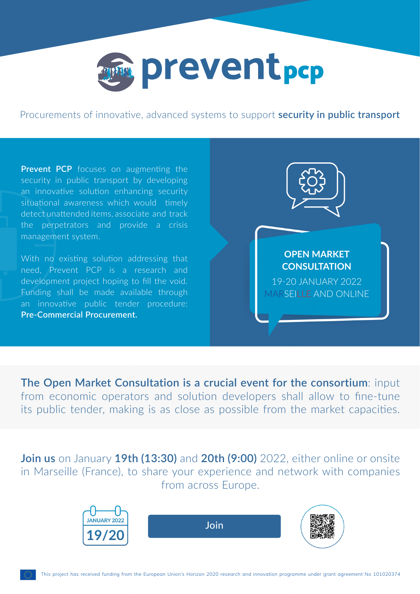

Procurements of innovative, advanced systems to support **security in public transport**

**Prevent PCP** focuses on augmenting the security in public transport by developing an innovative solution enhancing security situational awareness which would timely detect unattended items, associate and track the perpetrators and provide a crisis management system.

With no existing solution addressing that need, Prevent PCP is a research and development project hoping to fill the void. Funding shall be made available through an innovative public tender procedure: **Pre-Commercial Procurement.**



## **OPEN MARKET CONSULTATION**

19-20 JANUARY 2022 MARSEILLE AND ONLINE

**The Open Market Consultation is a crucial event for the consortium**: input from economic operators and solution developers shall allow to fine-tune its public tender, making is as close as possible from the market capacities.

**Join us** on January **19th (13:30)** and **20th (9:00)** 2022, either online or onsite in Marseille (France), to share your experience and network with companies from across Europe.